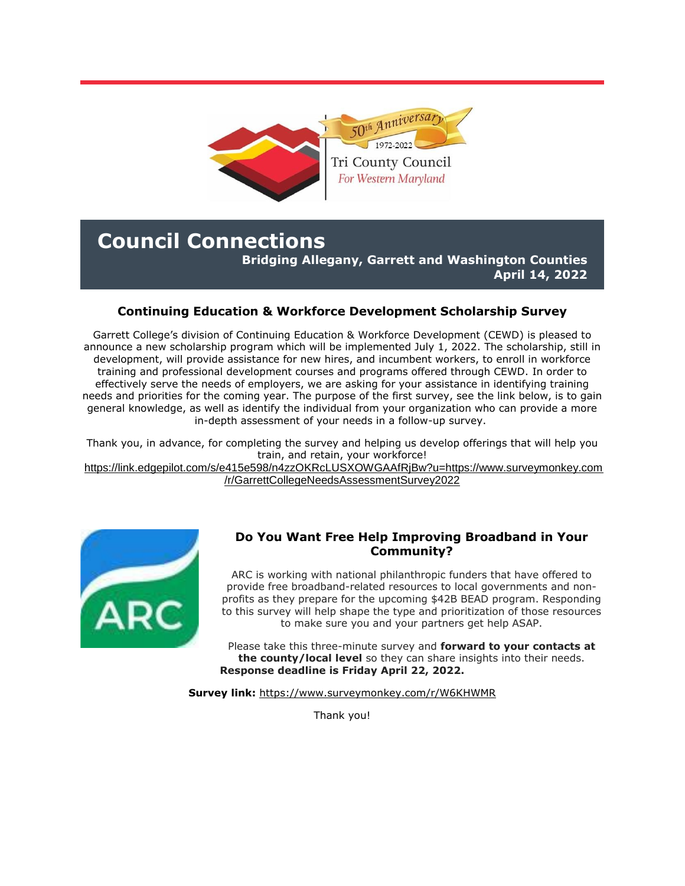

# **Council Connections Bridging Allegany, Garrett and Washington Counties**

**April 14, 2022**

## **Continuing Education & Workforce Development Scholarship Survey**

Garrett College's division of Continuing Education & Workforce Development (CEWD) is pleased to announce a new scholarship program which will be implemented July 1, 2022. The scholarship, still in development, will provide assistance for new hires, and incumbent workers, to enroll in workforce training and professional development courses and programs offered through CEWD. In order to effectively serve the needs of employers, we are asking for your assistance in identifying training needs and priorities for the coming year. The purpose of the first survey, see the link below, is to gain general knowledge, as well as identify the individual from your organization who can provide a more in-depth assessment of your needs in a follow-up survey.

Thank you, in advance, for completing the survey and helping us develop offerings that will help you train, and retain, your workforce!

[https://link.edgepilot.com/s/e415e598/n4zzOKRcLUSXOWGAAfRjBw?u=https://www.surveymonkey.com](https://r20.rs6.net/tn.jsp?f=001bJHyKFmIlXton1wru00pdAy5DDtgfOCIHz0CcnprcEGaPgv2iFKegYYArhtwHWNUwb7gbHElGgMwdjnhz8aXCSs0Q80F1bE_MMrZ7J1RrDD5ZhGeAisJN0RoNE3dfFXWx_-Hhs90V5lM7X0ZGKE-IVZvn-BSFynPSkK5uOabCLCxK4Od7-SP2QpQpKFGdBRKnjC1T1JAUU-OS7GoakkOXnPTcqzn0fNmHeelQqSQTO3piJRVwaGPp1sbM-xyt-h4lLeti2RitTgdDg9QnMkWu-M255d7LsGjpz29Ymbcn8aw7fWDdWhxglEYsFHly-vt&c=lmVXJWsLomQnT5mdWYbmBqP5_9VIYh741q0InaO2jX4wLr7BVrouKg==&ch=Ky4oIkQmJn1hZrmHoUukf9pOOmOcRBtLwItv7p16L_yTssyV-ykSuw==) [/r/GarrettCollegeNeedsAssessmentSurvey2022](https://r20.rs6.net/tn.jsp?f=001bJHyKFmIlXton1wru00pdAy5DDtgfOCIHz0CcnprcEGaPgv2iFKegYYArhtwHWNUwb7gbHElGgMwdjnhz8aXCSs0Q80F1bE_MMrZ7J1RrDD5ZhGeAisJN0RoNE3dfFXWx_-Hhs90V5lM7X0ZGKE-IVZvn-BSFynPSkK5uOabCLCxK4Od7-SP2QpQpKFGdBRKnjC1T1JAUU-OS7GoakkOXnPTcqzn0fNmHeelQqSQTO3piJRVwaGPp1sbM-xyt-h4lLeti2RitTgdDg9QnMkWu-M255d7LsGjpz29Ymbcn8aw7fWDdWhxglEYsFHly-vt&c=lmVXJWsLomQnT5mdWYbmBqP5_9VIYh741q0InaO2jX4wLr7BVrouKg==&ch=Ky4oIkQmJn1hZrmHoUukf9pOOmOcRBtLwItv7p16L_yTssyV-ykSuw==)



### **Do You Want Free Help Improving Broadband in Your Community?**

ARC is working with national philanthropic funders that have offered to provide free broadband-related resources to local governments and nonprofits as they prepare for the upcoming \$42B BEAD program. Responding to this survey will help shape the type and prioritization of those resources to make sure you and your partners get help ASAP.

Please take this three-minute survey and **forward to your contacts at the county/local level** so they can share insights into their needs. **Response deadline is Friday April 22, 2022.** 

**Survey link:** [https://www.surveymonkey.com/r/W6KHWMR](https://r20.rs6.net/tn.jsp?f=001bJHyKFmIlXton1wru00pdAy5DDtgfOCIHz0CcnprcEGaPgv2iFKegYYArhtwHWNUDdGrZALkJrbo6jDASnLfCPo3X53OVQViK12oSX0K3IaOXKPRmuMyawIl5rCTAuX4GeiFi1T54-lsayGjSudUVuGFEou1j5ZcwbaOWchm1Fg=&c=lmVXJWsLomQnT5mdWYbmBqP5_9VIYh741q0InaO2jX4wLr7BVrouKg==&ch=Ky4oIkQmJn1hZrmHoUukf9pOOmOcRBtLwItv7p16L_yTssyV-ykSuw==)

Thank you!